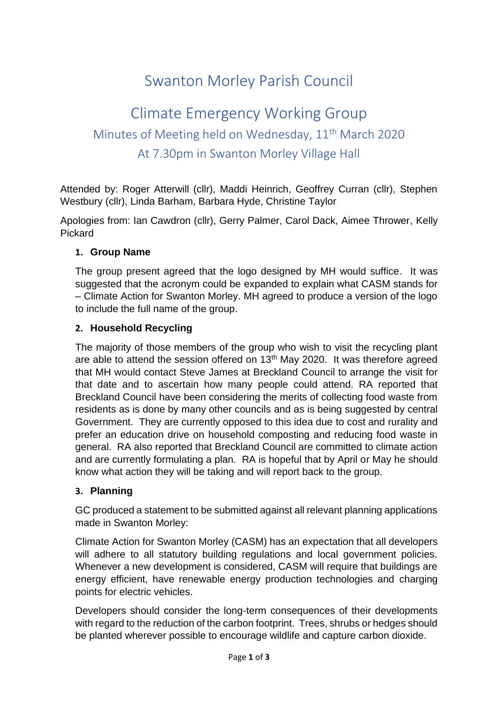# Swanton Morley Parish Council

## Climate Emergency Working Group Minutes of Meeting held on Wednesday, 11<sup>th</sup> March 2020 At 7.30pm in Swanton Morley Village Hall

Attended by: Roger Atterwill (cllr), Maddi Heinrich, Geoffrey Curran (cllr), Stephen Westbury (cllr), Linda Barham, Barbara Hyde, Christine Taylor

Apologies from: Ian Cawdron (cllr), Gerry Palmer, Carol Dack, Aimee Thrower, Kelly Pickard

#### **1. Group Name**

The group present agreed that the logo designed by MH would suffice. It was suggested that the acronym could be expanded to explain what CASM stands for – Climate Action for Swanton Morley. MH agreed to produce a version of the logo to include the full name of the group.

## **2. Household Recycling**

The majority of those members of the group who wish to visit the recycling plant are able to attend the session offered on  $13<sup>th</sup>$  May 2020. It was therefore agreed that MH would contact Steve James at Breckland Council to arrange the visit for that date and to ascertain how many people could attend. RA reported that Breckland Council have been considering the merits of collecting food waste from residents as is done by many other councils and as is being suggested by central Government. They are currently opposed to this idea due to cost and rurality and prefer an education drive on household composting and reducing food waste in general. RA also reported that Breckland Council are committed to climate action and are currently formulating a plan. RA is hopeful that by April or May he should know what action they will be taking and will report back to the group.

#### **3. Planning**

GC produced a statement to be submitted against all relevant planning applications made in Swanton Morley:

Climate Action for Swanton Morley (CASM) has an expectation that all developers will adhere to all statutory building regulations and local government policies. Whenever a new development is considered, CASM will require that buildings are energy efficient, have renewable energy production technologies and charging points for electric vehicles.

Developers should consider the long-term consequences of their developments with regard to the reduction of the carbon footprint. Trees, shrubs or hedges should be planted wherever possible to encourage wildlife and capture carbon dioxide.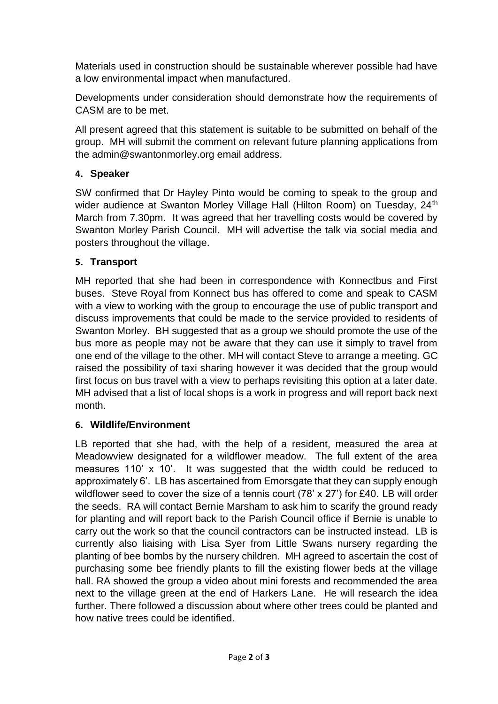Materials used in construction should be sustainable wherever possible had have a low environmental impact when manufactured.

Developments under consideration should demonstrate how the requirements of CASM are to be met.

All present agreed that this statement is suitable to be submitted on behalf of the group. MH will submit the comment on relevant future planning applications from the admin@swantonmorley.org email address.

## **4. Speaker**

SW confirmed that Dr Hayley Pinto would be coming to speak to the group and wider audience at Swanton Morley Village Hall (Hilton Room) on Tuesday, 24<sup>th</sup> March from 7.30pm. It was agreed that her travelling costs would be covered by Swanton Morley Parish Council. MH will advertise the talk via social media and posters throughout the village.

## **5. Transport**

MH reported that she had been in correspondence with Konnectbus and First buses. Steve Royal from Konnect bus has offered to come and speak to CASM with a view to working with the group to encourage the use of public transport and discuss improvements that could be made to the service provided to residents of Swanton Morley. BH suggested that as a group we should promote the use of the bus more as people may not be aware that they can use it simply to travel from one end of the village to the other. MH will contact Steve to arrange a meeting. GC raised the possibility of taxi sharing however it was decided that the group would first focus on bus travel with a view to perhaps revisiting this option at a later date. MH advised that a list of local shops is a work in progress and will report back next month.

#### **6. Wildlife/Environment**

LB reported that she had, with the help of a resident, measured the area at Meadowview designated for a wildflower meadow. The full extent of the area measures 110' x 10'. It was suggested that the width could be reduced to approximately 6'. LB has ascertained from Emorsgate that they can supply enough wildflower seed to cover the size of a tennis court (78' x 27') for £40. LB will order the seeds. RA will contact Bernie Marsham to ask him to scarify the ground ready for planting and will report back to the Parish Council office if Bernie is unable to carry out the work so that the council contractors can be instructed instead. LB is currently also liaising with Lisa Syer from Little Swans nursery regarding the planting of bee bombs by the nursery children. MH agreed to ascertain the cost of purchasing some bee friendly plants to fill the existing flower beds at the village hall. RA showed the group a video about mini forests and recommended the area next to the village green at the end of Harkers Lane. He will research the idea further. There followed a discussion about where other trees could be planted and how native trees could be identified.